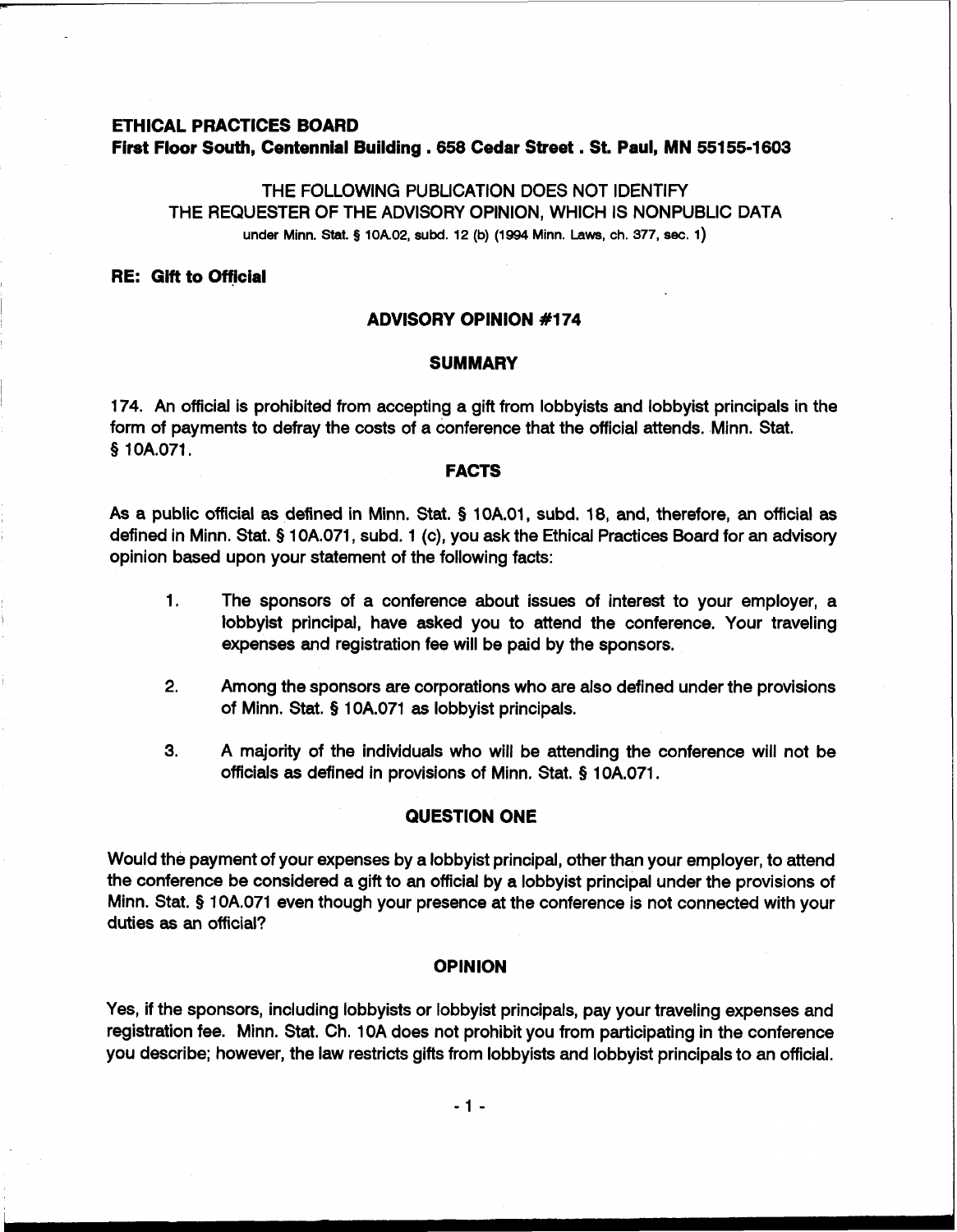# **ETHICAL PRACTICES BOARD First Floor South, Centennial Building .658 Cedar Street** . **St. Paul, MN 55155-1603**

THE FOLLOWING PUBLICATION DOES NOT IDENTIFY THE REQUESTER OF THE ADVISORY OPINION, WHICH IS NONPUBLIC DATA under Minn. Stat. **3 10k02, subd. 12 (b) (1994 Minn. Laws, ch. 377, sec. 1)** 

#### **RE: Gift to Official**

# **ADVISORY OPINION #I74**

### **SUMMARY**

174. An official is prohibited from accepting a gift from lobbyists and lobbyist principals in the form of payments to defray the costs of a conference that the official attends. Minn. Stat. **9** 1 OA.071.

#### **FACTS**

As a public official **as** defined in Minn. Stat. **9** 10A.01, subd. 18, and, therefore, an official **as**  defined in Minn. Stat. **9** 10A.071, subd. 1 (c), you ask the Ethical Practices Board for an advisory opinion based upon your statement of the following facts:

- 1. The sponsors of a conference about issues of interest to your employer, a lobbyist principal, have asked you to attend the conference. Your traveling expenses and registration fee will be paid by the sponsors.
- **2.** Among the sponsors are corporations who are also defined under the provisions of Minn. Stat. **9** 10A.071 **as** lobbyist principals.
- **3.** A majority of the individuals who will be attending the conference will not be officials **as** defined in provisions of Minn. Stat. **9** 10A.071.

# **QUESTION ONE**

Would the payment of your expenses by a lobbyist principal, other than your employer, to attend the conference be considered a gift to an official by a lobbyist principal under the provisions of Minn. Stat. **9** 10A.071 even though your presence at the conference is not connected with your duties **as** an official?

#### **OPINION**

Yes, if the sponsors, including lobbyists or lobbyist principals, pay your traveling expenses and registration fee. Minn. Stat. Ch. 1 OA does not prohibit you from participating in the conference you describe; however, the law restricts gifts from lobbyists and lobbyist principals to an official.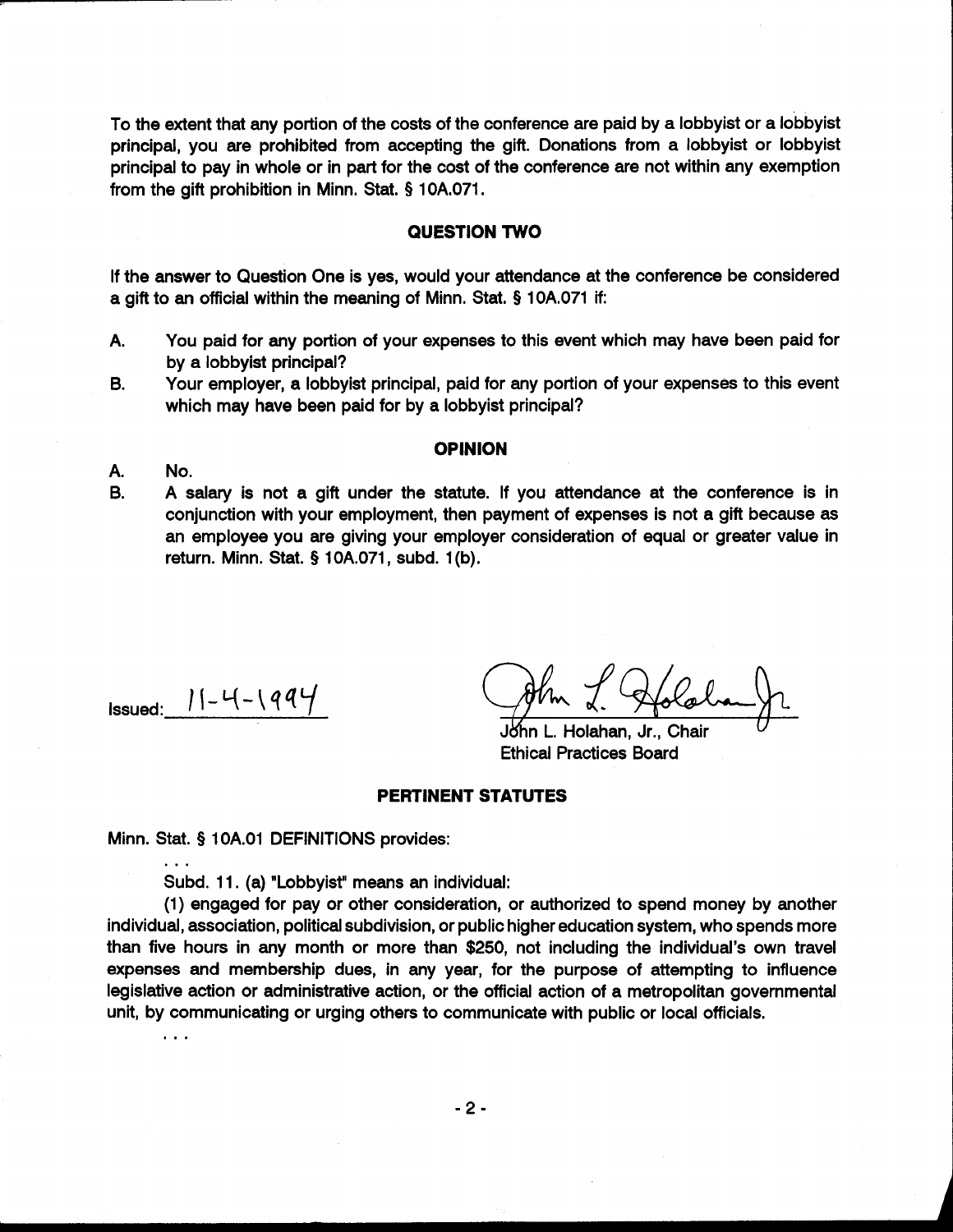To the extent that any portion of the costs of the conference are paid by a lobbyist or a lobbyist principal, you are prohibited from accepting the gift. Donations from a lobbyist or lobbyist principal to pay in whole or in part for the cost of the conference are not within any exemption from the gift prohibition in Minn. Stat. § 10A.071.

# **QUESTION TWO**

If the answer to Question One is yes, would your attendance at the conference be considered a gift to an official within the meaning of Minn. Stat. § 10A.071 if:

- A. You paid for any portion of your expenses to this event which may have been paid for by a lobbyist principal?
- B. Your employer, a lobbyist principal, paid for any portion of your expenses to this event which may have been paid for by a lobbyist principal?

#### **OPINION**

- A. No.
- B. A salary is not a gift under the statute. If you attendance at the conference is in conjunction with your employment, then payment of expenses is not a gift because as an employee you are giving your employer consideration of equal or greater value in return. Minn. Stat. § 10A.071, subd. **l(b).**

 $I_{\text{Issued:}}$   $|I - 4 - 1994|$ 

. . .

John L. Holahan, Jr., Chair Ethical Practices Board

### **PERTINENT STATUTES**

Minn. Stat. § 1 OA.O1 DEFINITIONS provides:

Subd. 11. (a) "Lobbyist" means an individual:

(1) engaged for pay or other consideration, or authorized to spend money by another individual, association, political subdivision, or public higher education system, who spends more than five hours in any month or more than \$250, not including the individual's own travel expenses and membership dues, in any year, for the purpose of attempting to influence legislative action or administrative action, or the official action of a metropolitan governmental unit, by communicating or urging others to communicate with public or local officials. . . .

 $-2-$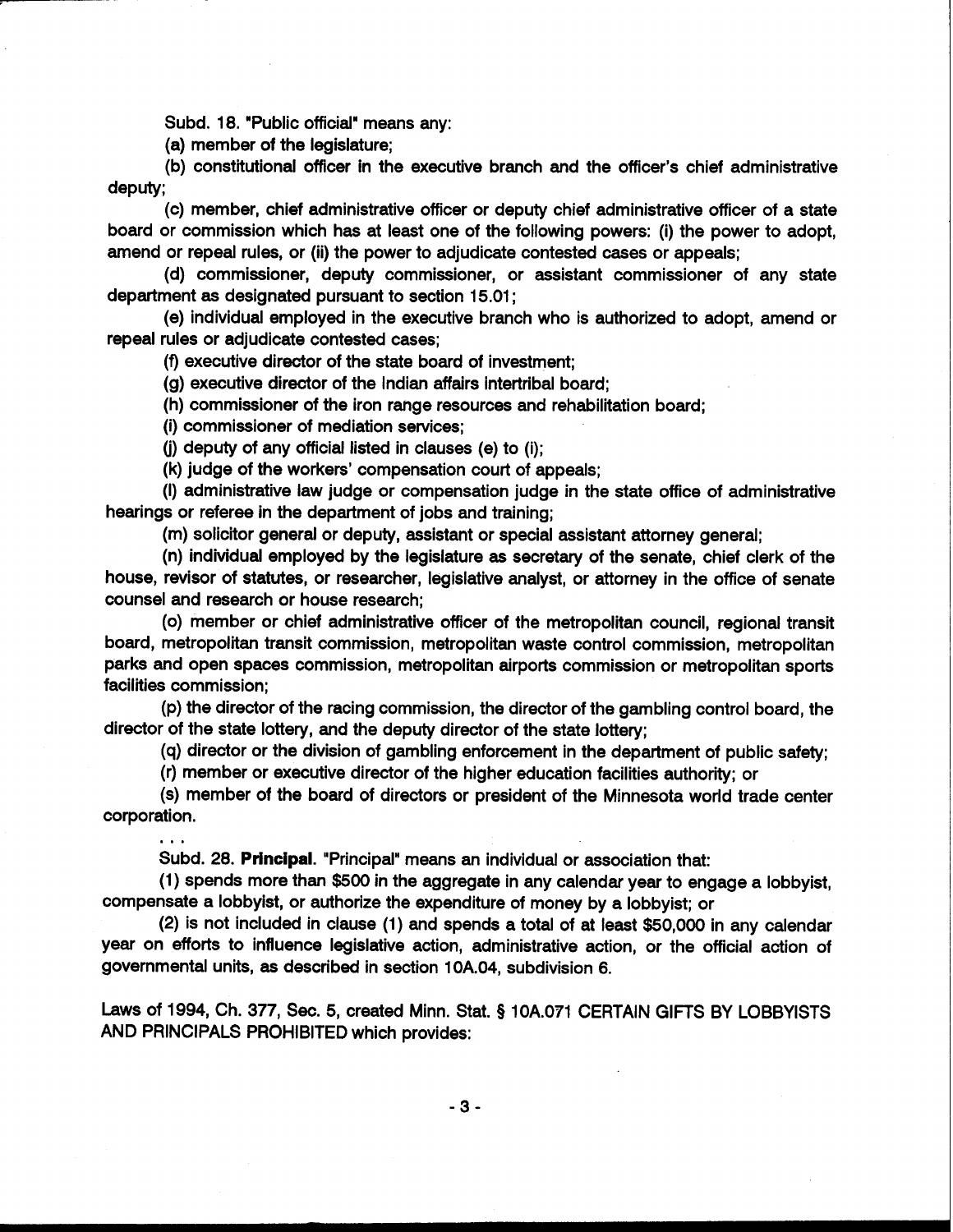Subd. 18. "Public official" means any:

(a) member of the legislature;

(b) constitutional officer in the executive branch and the officer's chief administrative deputy;

(c) member, chief administrative officer or deputy chief administrative officer of a state board or commission which has at least one of the following powers: (i) the power to adopt, amend or repeal rules, or (ii) the power to adjudicate contested cases or appeals;

(d) commissioner, deputy commissioner, or assistant commissioner of any state department as designated pursuant to section 15.01 ;

(e) individual employed in the executive branch who is authorized to adopt, amend or repeal rules or adjudicate contested cases;

(9 executive director of the state board of investment;

(g) executive director of the Indian affairs intertribal board;

(h) commissioner of the iron range resources and rehabilitation board;

(i) commissioner of mediation services;

**(j)** deputy of any official listed in clauses (e) to (i);

(k) judge of the workers' compensation court of appeals;

(I) administrative law judge or compensation judge in the state office of administrative hearings or referee in the department of jobs and training;

(m) solicitor general or deputy, assistant or special assistant attorney general;

(n) individual employed by the legislature as secretary of the senate, chief clerk of the house, revisor of statutes, or researcher, legislative analyst, or attorney in the office of senate counsel and research or house research;

(0) member or chief administrative officer of the metropolitan council, regional transit board, metropolitan transit commission, metropolitan waste control commission, metropolitan parks and open spaces commission, metropolitan airports commission or metropolitan sports facilities commission;

(p) the director of the racing commission, the director of the gambling control board, the director of the state lottery, and the deputy director of the state lottery;

(q) director or the division of gambling enforcement in the department of public safety;

(r) member or executive director of the higher education facilities authority; or

(s) member of the board of directors or president of the Minnesota world trade center corporation. ...

Subd. 28. Principal. "Principal"means **an** individual or association that:

(1) spends more than \$500 in the aggregate in any calendar year to engage a lobbyist, compensate a lobbyist, or authorize the expenditure of money by a lobbyist; or

(2) is not included in clause (1) and spends a total of at least \$50,000 in any calendar year on efforts to influence legislative action, administrative action, or the official action of governmental units, as described in section 10A.04, subdivision 6.

Laws of 1994, Ch. 377, Sec. 5, created Minn. Stat. § 10A.071 CERTAIN GIFTS BY LOBBYISTS AND PRINCIPALS PROHIBITED which provides: